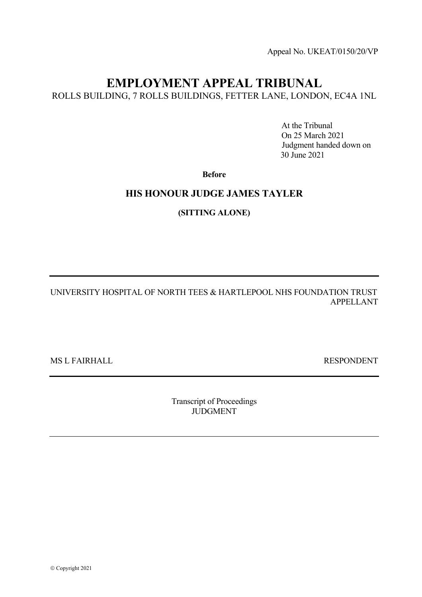Appeal No. UKEAT/0150/20/VP

# **EMPLOYMENT APPEAL TRIBUNAL**

ROLLS BUILDING, 7 ROLLS BUILDINGS, FETTER LANE, LONDON, EC4A 1NL

 At the Tribunal On 25 March 2021 Judgment handed down on 30 June 2021

**Before**

# **HIS HONOUR JUDGE JAMES TAYLER**

**(SITTING ALONE)** 

UNIVERSITY HOSPITAL OF NORTH TEES & HARTLEPOOL NHS FOUNDATION TRUST APPELLANT

MS L FAIRHALL RESPONDENT

Transcript of Proceedings JUDGMENT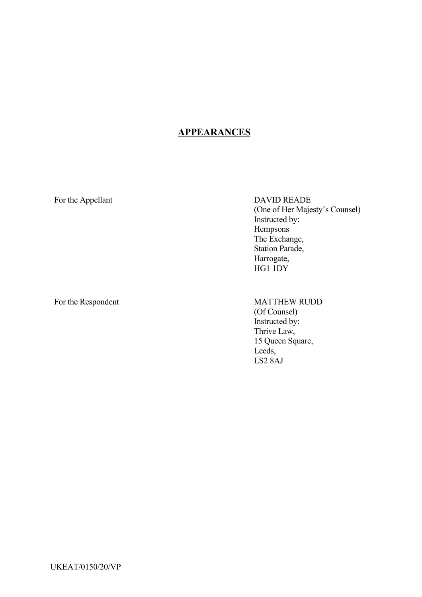# **APPEARANCES**

For the Appellant DAVID READE (One of Her Majesty's Counsel) Instructed by: Hempsons The Exchange, Station Parade, Harrogate, HG1 1DY

# For the Respondent MATTHEW RUDD

(Of Counsel) Instructed by: Thrive Law, 15 Queen Square, Leeds, LS2 8AJ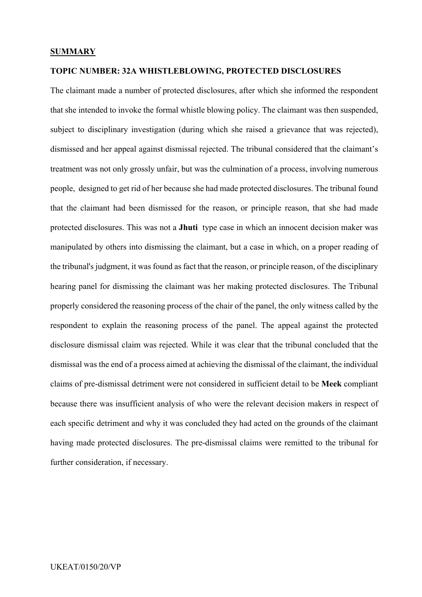## **SUMMARY**

# **TOPIC NUMBER: 32A WHISTLEBLOWING, PROTECTED DISCLOSURES**

The claimant made a number of protected disclosures, after which she informed the respondent that she intended to invoke the formal whistle blowing policy. The claimant was then suspended, subject to disciplinary investigation (during which she raised a grievance that was rejected), dismissed and her appeal against dismissal rejected. The tribunal considered that the claimant's treatment was not only grossly unfair, but was the culmination of a process, involving numerous people, designed to get rid of her because she had made protected disclosures. The tribunal found that the claimant had been dismissed for the reason, or principle reason, that she had made protected disclosures. This was not a **Jhuti** type case in which an innocent decision maker was manipulated by others into dismissing the claimant, but a case in which, on a proper reading of the tribunal's judgment, it was found as fact that the reason, or principle reason, of the disciplinary hearing panel for dismissing the claimant was her making protected disclosures. The Tribunal properly considered the reasoning process of the chair of the panel, the only witness called by the respondent to explain the reasoning process of the panel. The appeal against the protected disclosure dismissal claim was rejected. While it was clear that the tribunal concluded that the dismissal was the end of a process aimed at achieving the dismissal of the claimant, the individual claims of pre-dismissal detriment were not considered in sufficient detail to be **Meek** compliant because there was insufficient analysis of who were the relevant decision makers in respect of each specific detriment and why it was concluded they had acted on the grounds of the claimant having made protected disclosures. The pre-dismissal claims were remitted to the tribunal for further consideration, if necessary.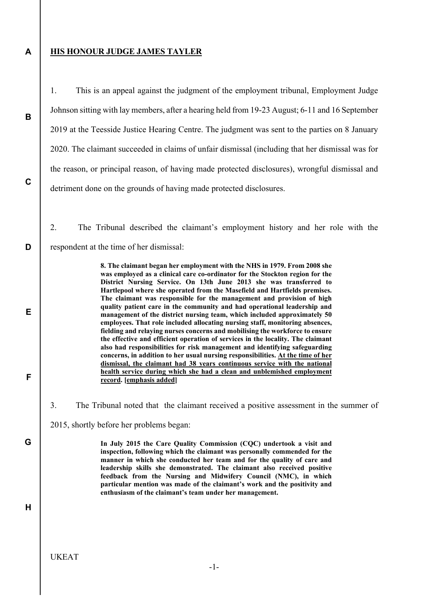# **HIS HONOUR JUDGE JAMES TAYLER**

**A** 

**B** 

**C** 

**D** 

**E** 

**F** 

**G** 

1. This is an appeal against the judgment of the employment tribunal, Employment Judge Johnson sitting with lay members, after a hearing held from 19-23 August; 6-11 and 16 September 2019 at the Teesside Justice Hearing Centre. The judgment was sent to the parties on 8 January 2020. The claimant succeeded in claims of unfair dismissal (including that her dismissal was for the reason, or principal reason, of having made protected disclosures), wrongful dismissal and detriment done on the grounds of having made protected disclosures.

2. The Tribunal described the claimant's employment history and her role with the respondent at the time of her dismissal:

> **8. The claimant began her employment with the NHS in 1979. From 2008 she was employed as a clinical care co-ordinator for the Stockton region for the District Nursing Service. On 13th June 2013 she was transferred to Hartlepool where she operated from the Masefield and Hartfields premises. The claimant was responsible for the management and provision of high quality patient care in the community and had operational leadership and management of the district nursing team, which included approximately 50 employees. That role included allocating nursing staff, monitoring absences, fielding and relaying nurses concerns and mobilising the workforce to ensure the effective and efficient operation of services in the locality. The claimant also had responsibilities for risk management and identifying safeguarding concerns, in addition to her usual nursing responsibilities. At the time of her dismissal, the claimant had 38 years continuous service with the national health service during which she had a clean and unblemished employment record. [emphasis added]**

3. The Tribunal noted that the claimant received a positive assessment in the summer of

2015, shortly before her problems began:

**In July 2015 the Care Quality Commission (CQC) undertook a visit and inspection, following which the claimant was personally commended for the manner in which she conducted her team and for the quality of care and leadership skills she demonstrated. The claimant also received positive feedback from the Nursing and Midwifery Council (NMC), in which particular mention was made of the claimant's work and the positivity and enthusiasm of the claimant's team under her management.** 

**H**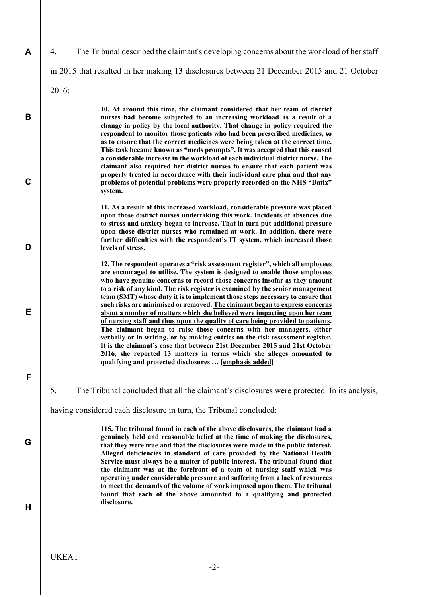**A** 

**B** 

**C** 

**D** 

**E** 

**F** 

**G** 

4. The Tribunal described the claimant's developing concerns about the workload of her staff

in 2015 that resulted in her making 13 disclosures between 21 December 2015 and 21 October

2016:

**10. At around this time, the claimant considered that her team of district nurses had become subjected to an increasing workload as a result of a change in policy by the local authority. That change in policy required the respondent to monitor those patients who had been prescribed medicines, so as to ensure that the correct medicines were being taken at the correct time. This task became known as "meds prompts". It was accepted that this caused a considerable increase in the workload of each individual district nurse. The claimant also required her district nurses to ensure that each patient was properly treated in accordance with their individual care plan and that any problems of potential problems were properly recorded on the NHS "Datix" system.** 

**11. As a result of this increased workload, considerable pressure was placed upon those district nurses undertaking this work. Incidents of absences due to stress and anxiety began to increase. That in turn put additional pressure upon those district nurses who remained at work. In addition, there were further difficulties with the respondent's IT system, which increased those levels of stress.** 

**12. The respondent operates a "risk assessment register", which all employees are encouraged to utilise. The system is designed to enable those employees who have genuine concerns to record those concerns insofar as they amount to a risk of any kind. The risk register is examined by the senior management team (SMT) whose duty it is to implement those steps necessary to ensure that such risks are minimised or removed. The claimant began to express concerns about a number of matters which she believed were impacting upon her team of nursing staff and thus upon the quality of care being provided to patients. The claimant began to raise those concerns with her managers, either verbally or in writing, or by making entries on the risk assessment register. It is the claimant's case that between 21st December 2015 and 21st October 2016, she reported 13 matters in terms which she alleges amounted to qualifying and protected disclosures … [emphasis added]** 

5. The Tribunal concluded that all the claimant's disclosures were protected. In its analysis,

having considered each disclosure in turn, the Tribunal concluded:

**115. The tribunal found in each of the above disclosures, the claimant had a genuinely held and reasonable belief at the time of making the disclosures, that they were true and that the disclosures were made in the public interest. Alleged deficiencies in standard of care provided by the National Health Service must always be a matter of public interest. The tribunal found that the claimant was at the forefront of a team of nursing staff which was operating under considerable pressure and suffering from a lack of resources to meet the demands of the volume of work imposed upon them. The tribunal found that each of the above amounted to a qualifying and protected disclosure.**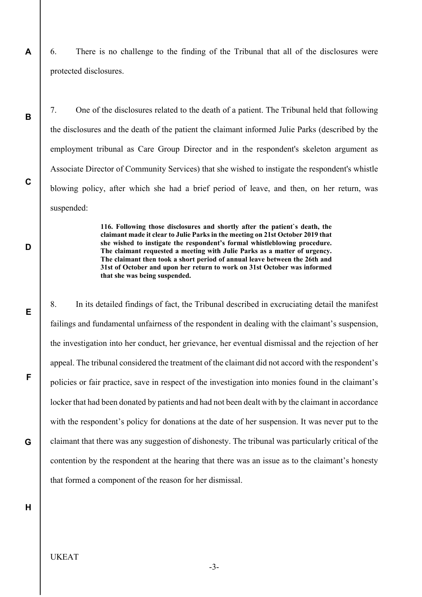6. There is no challenge to the finding of the Tribunal that all of the disclosures were protected disclosures.

7. One of the disclosures related to the death of a patient. The Tribunal held that following the disclosures and the death of the patient the claimant informed Julie Parks (described by the employment tribunal as Care Group Director and in the respondent's skeleton argument as Associate Director of Community Services) that she wished to instigate the respondent's whistle blowing policy, after which she had a brief period of leave, and then, on her return, was suspended:

> **116. Following those disclosures and shortly after the patient`s death, the claimant made it clear to Julie Parks in the meeting on 21st October 2019 that she wished to instigate the respondent's formal whistleblowing procedure. The claimant requested a meeting with Julie Parks as a matter of urgency. The claimant then took a short period of annual leave between the 26th and 31st of October and upon her return to work on 31st October was informed that she was being suspended.**

8. In its detailed findings of fact, the Tribunal described in excruciating detail the manifest failings and fundamental unfairness of the respondent in dealing with the claimant's suspension, the investigation into her conduct, her grievance, her eventual dismissal and the rejection of her appeal. The tribunal considered the treatment of the claimant did not accord with the respondent's policies or fair practice, save in respect of the investigation into monies found in the claimant's locker that had been donated by patients and had not been dealt with by the claimant in accordance with the respondent's policy for donations at the date of her suspension. It was never put to the claimant that there was any suggestion of dishonesty. The tribunal was particularly critical of the contention by the respondent at the hearing that there was an issue as to the claimant's honesty that formed a component of the reason for her dismissal.

**H** 

**A** 

**B** 

**C** 

**D** 

**E** 

**F** 

**G** 

# UKEAT

-3-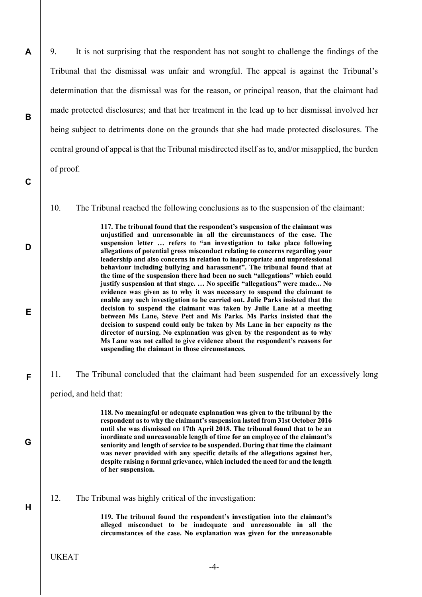9. It is not surprising that the respondent has not sought to challenge the findings of the Tribunal that the dismissal was unfair and wrongful. The appeal is against the Tribunal's determination that the dismissal was for the reason, or principal reason, that the claimant had made protected disclosures; and that her treatment in the lead up to her dismissal involved her being subject to detriments done on the grounds that she had made protected disclosures. The central ground of appeal is that the Tribunal misdirected itself as to, and/or misapplied, the burden of proof.

10. The Tribunal reached the following conclusions as to the suspension of the claimant:

**117. The tribunal found that the respondent's suspension of the claimant was unjustified and unreasonable in all the circumstances of the case. The suspension letter … refers to "an investigation to take place following allegations of potential gross misconduct relating to concerns regarding your leadership and also concerns in relation to inappropriate and unprofessional behaviour including bullying and harassment". The tribunal found that at the time of the suspension there had been no such "allegations" which could justify suspension at that stage. … No specific "allegations" were made... No evidence was given as to why it was necessary to suspend the claimant to enable any such investigation to be carried out. Julie Parks insisted that the decision to suspend the claimant was taken by Julie Lane at a meeting between Ms Lane, Steve Pett and Ms Parks. Ms Parks insisted that the decision to suspend could only be taken by Ms Lane in her capacity as the director of nursing. No explanation was given by the respondent as to why Ms Lane was not called to give evidence about the respondent's reasons for suspending the claimant in those circumstances.** 

11. The Tribunal concluded that the claimant had been suspended for an excessively long

period, and held that:

**A** 

**B** 

**C** 

**D** 

**E** 

**F** 

**G** 

**H** 

**118. No meaningful or adequate explanation was given to the tribunal by the respondent as to why the claimant's suspension lasted from 31st October 2016 until she was dismissed on 17th April 2018. The tribunal found that to be an inordinate and unreasonable length of time for an employee of the claimant's seniority and length of service to be suspended. During that time the claimant was never provided with any specific details of the allegations against her, despite raising a formal grievance, which included the need for and the length of her suspension.** 

12. The Tribunal was highly critical of the investigation:

**119. The tribunal found the respondent's investigation into the claimant's alleged misconduct to be inadequate and unreasonable in all the circumstances of the case. No explanation was given for the unreasonable**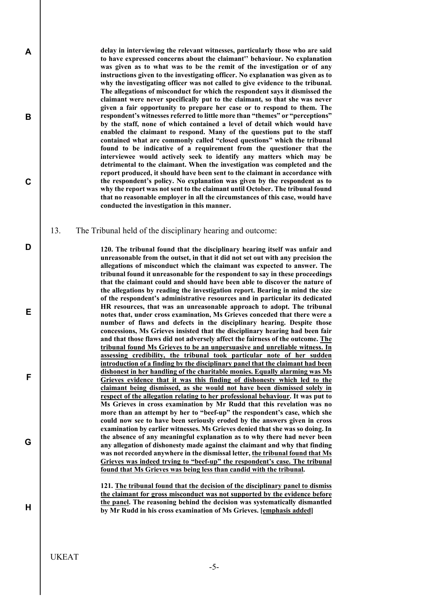**delay in interviewing the relevant witnesses, particularly those who are said to have expressed concerns about the claimant'' behaviour. No explanation was given as to what was to be the remit of the investigation or of any instructions given to the investigating officer. No explanation was given as to why the investigating officer was not called to give evidence to the tribunal. The allegations of misconduct for which the respondent says it dismissed the claimant were never specifically put to the claimant, so that she was never given a fair opportunity to prepare her case or to respond to them. The respondent's witnesses referred to little more than "themes" or "perceptions" by the staff, none of which contained a level of detail which would have enabled the claimant to respond. Many of the questions put to the staff contained what are commonly called "closed questions" which the tribunal found to be indicative of a requirement from the questioner that the interviewee would actively seek to identify any matters which may be detrimental to the claimant. When the investigation was completed and the report produced, it should have been sent to the claimant in accordance with the respondent's policy. No explanation was given by the respondent as to why the report was not sent to the claimant until October. The tribunal found that no reasonable employer in all the circumstances of this case, would have conducted the investigation in this manner.** 

13. The Tribunal held of the disciplinary hearing and outcome:

**120. The tribunal found that the disciplinary hearing itself was unfair and unreasonable from the outset, in that it did not set out with any precision the allegations of misconduct which the claimant was expected to answer. The tribunal found it unreasonable for the respondent to say in these proceedings that the claimant could and should have been able to discover the nature of the allegations by reading the investigation report. Bearing in mind the size of the respondent's administrative resources and in particular its dedicated HR resources, that was an unreasonable approach to adopt. The tribunal notes that, under cross examination, Ms Grieves conceded that there were a number of flaws and defects in the disciplinary hearing. Despite those concessions, Ms Grieves insisted that the disciplinary hearing had been fair and that those flaws did not adversely affect the fairness of the outcome. The tribunal found Ms Grieves to be an unpersuasive and unreliable witness. In assessing credibility, the tribunal took particular note of her sudden introduction of a finding by the disciplinary panel that the claimant had been dishonest in her handling of the charitable monies. Equally alarming was Ms Grieves evidence that it was this finding of dishonesty which led to the claimant being dismissed, as she would not have been dismissed solely in respect of the allegation relating to her professional behaviour. It was put to Ms Grieves in cross examination by Mr Rudd that this revelation was no more than an attempt by her to "beef-up" the respondent's case, which she could now see to have been seriously eroded by the answers given in cross examination by earlier witnesses. Ms Grieves denied that she was so doing. In the absence of any meaningful explanation as to why there had never been any allegation of dishonesty made against the claimant and why that finding was not recorded anywhere in the dismissal letter, the tribunal found that Ms Grieves was indeed trying to "beef-up" the respondent's case. The tribunal found that Ms Grieves was being less than candid with the tribunal.** 

**121. The tribunal found that the decision of the disciplinary panel to dismiss the claimant for gross misconduct was not supported by the evidence before the panel. The reasoning behind the decision was systematically dismantled by Mr Rudd in his cross examination of Ms Grieves. [emphasis added]** 

UKEAT

**A** 

**B** 

**C** 

**D** 

**E** 

**F** 

**G** 

**H** 

-5-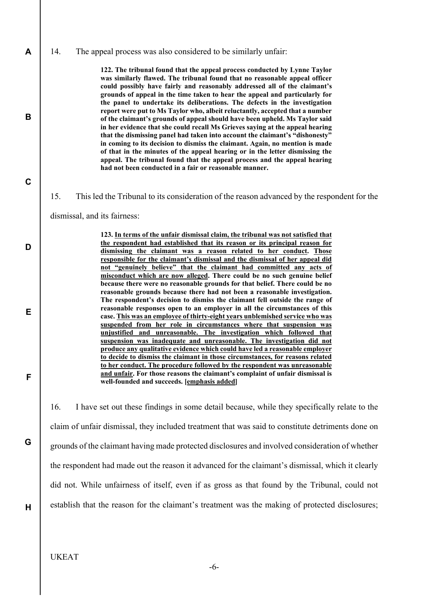14. The appeal process was also considered to be similarly unfair:

**122. The tribunal found that the appeal process conducted by Lynne Taylor was similarly flawed. The tribunal found that no reasonable appeal officer could possibly have fairly and reasonably addressed all of the claimant's grounds of appeal in the time taken to hear the appeal and particularly for the panel to undertake its deliberations. The defects in the investigation report were put to Ms Taylor who, albeit reluctantly, accepted that a number of the claimant's grounds of appeal should have been upheld. Ms Taylor said in her evidence that she could recall Ms Grieves saying at the appeal hearing that the dismissing panel had taken into account the claimant's "dishonesty" in coming to its decision to dismiss the claimant. Again, no mention is made of that in the minutes of the appeal hearing or in the letter dismissing the appeal. The tribunal found that the appeal process and the appeal hearing had not been conducted in a fair or reasonable manner.** 

15. This led the Tribunal to its consideration of the reason advanced by the respondent for the

dismissal, and its fairness:

**123. In terms of the unfair dismissal claim, the tribunal was not satisfied that the respondent had established that its reason or its principal reason for dismissing the claimant was a reason related to her conduct. Those responsible for the claimant's dismissal and the dismissal of her appeal did not "genuinely believe" that the claimant had committed any acts of misconduct which are now alleged. There could be no such genuine belief because there were no reasonable grounds for that belief. There could be no reasonable grounds because there had not been a reasonable investigation. The respondent's decision to dismiss the claimant fell outside the range of reasonable responses open to an employer in all the circumstances of this case. This was an employee of thirty-eight years unblemished service who was suspended from her role in circumstances where that suspension was unjustified and unreasonable. The investigation which followed that suspension was inadequate and unreasonable. The investigation did not produce any qualitative evidence which could have led a reasonable employer to decide to dismiss the claimant in those circumstances, for reasons related to her conduct. The procedure followed by the respondent was unreasonable and unfair. For those reasons the claimant's complaint of unfair dismissal is well-founded and succeeds. [emphasis added]** 

16. I have set out these findings in some detail because, while they specifically relate to the claim of unfair dismissal, they included treatment that was said to constitute detriments done on grounds of the claimant having made protected disclosures and involved consideration of whether the respondent had made out the reason it advanced for the claimant's dismissal, which it clearly did not. While unfairness of itself, even if as gross as that found by the Tribunal, could not establish that the reason for the claimant's treatment was the making of protected disclosures;

**A** 

**B** 

**C** 

**D** 

**E** 

**F** 

**G**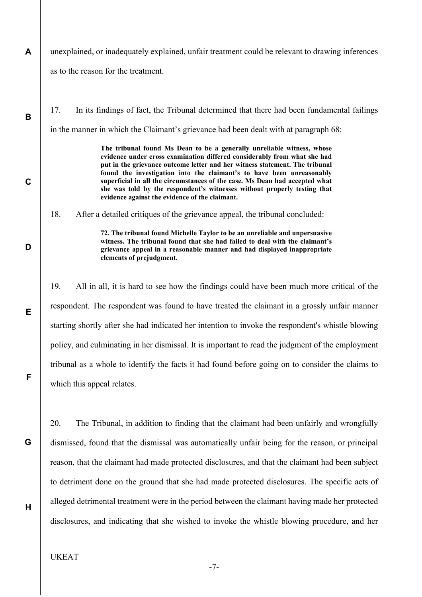**A**  unexplained, or inadequately explained, unfair treatment could be relevant to drawing inferences as to the reason for the treatment.

17. In its findings of fact, the Tribunal determined that there had been fundamental failings in the manner in which the Claimant's grievance had been dealt with at paragraph 68:

> **The tribunal found Ms Dean to be a generally unreliable witness, whose evidence under cross examination differed considerably from what she had put in the grievance outcome letter and her witness statement. The tribunal found the investigation into the claimant's to have been unreasonably superficial in all the circumstances of the case. Ms Dean had accepted what she was told by the respondent's witnesses without properly testing that evidence against the evidence of the claimant.**

18. After a detailed critiques of the grievance appeal, the tribunal concluded:

**72. The tribunal found Michelle Taylor to be an unreliable and unpersuasive witness. The tribunal found that she had failed to deal with the claimant's grievance appeal in a reasonable manner and had displayed inappropriate elements of prejudgment.** 

19. All in all, it is hard to see how the findings could have been much more critical of the respondent. The respondent was found to have treated the claimant in a grossly unfair manner starting shortly after she had indicated her intention to invoke the respondent's whistle blowing policy, and culminating in her dismissal. It is important to read the judgment of the employment tribunal as a whole to identify the facts it had found before going on to consider the claims to which this appeal relates.

20. The Tribunal, in addition to finding that the claimant had been unfairly and wrongfully dismissed, found that the dismissal was automatically unfair being for the reason, or principal reason, that the claimant had made protected disclosures, and that the claimant had been subject to detriment done on the ground that she had made protected disclosures. The specific acts of alleged detrimental treatment were in the period between the claimant having made her protected disclosures, and indicating that she wished to invoke the whistle blowing procedure, and her

**H** 

**B** 

**C** 

**D** 

**E** 

**F** 

**G**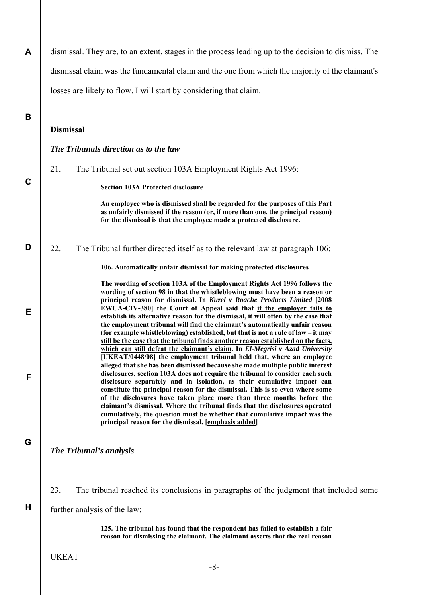| A | dismissal. They are, to an extent, stages in the process leading up to the decision to dismiss. The                                                                                                                                                                                                                                                                                                                                                                                                                                                                                                                                                                                                                                                                             |
|---|---------------------------------------------------------------------------------------------------------------------------------------------------------------------------------------------------------------------------------------------------------------------------------------------------------------------------------------------------------------------------------------------------------------------------------------------------------------------------------------------------------------------------------------------------------------------------------------------------------------------------------------------------------------------------------------------------------------------------------------------------------------------------------|
|   | dismissal claim was the fundamental claim and the one from which the majority of the claimant's                                                                                                                                                                                                                                                                                                                                                                                                                                                                                                                                                                                                                                                                                 |
|   | losses are likely to flow. I will start by considering that claim.                                                                                                                                                                                                                                                                                                                                                                                                                                                                                                                                                                                                                                                                                                              |
| B |                                                                                                                                                                                                                                                                                                                                                                                                                                                                                                                                                                                                                                                                                                                                                                                 |
|   | <b>Dismissal</b>                                                                                                                                                                                                                                                                                                                                                                                                                                                                                                                                                                                                                                                                                                                                                                |
|   | The Tribunals direction as to the law                                                                                                                                                                                                                                                                                                                                                                                                                                                                                                                                                                                                                                                                                                                                           |
|   | 21.<br>The Tribunal set out section 103A Employment Rights Act 1996:                                                                                                                                                                                                                                                                                                                                                                                                                                                                                                                                                                                                                                                                                                            |
| C | <b>Section 103A Protected disclosure</b>                                                                                                                                                                                                                                                                                                                                                                                                                                                                                                                                                                                                                                                                                                                                        |
|   | An employee who is dismissed shall be regarded for the purposes of this Part<br>as unfairly dismissed if the reason (or, if more than one, the principal reason)<br>for the dismissal is that the employee made a protected disclosure.                                                                                                                                                                                                                                                                                                                                                                                                                                                                                                                                         |
| D | 22.<br>The Tribunal further directed itself as to the relevant law at paragraph 106:                                                                                                                                                                                                                                                                                                                                                                                                                                                                                                                                                                                                                                                                                            |
|   | 106. Automatically unfair dismissal for making protected disclosures                                                                                                                                                                                                                                                                                                                                                                                                                                                                                                                                                                                                                                                                                                            |
| E | The wording of section 103A of the Employment Rights Act 1996 follows the<br>wording of section 98 in that the whistleblowing must have been a reason or<br>principal reason for dismissal. In Kuzel v Roache Products Limited [2008<br>EWCA-CIV-380] the Court of Appeal said that if the employer fails to<br>establish its alternative reason for the dismissal, it will often by the case that<br>the employment tribunal will find the claimant's automatically unfair reason<br>(for example whistleblowing) established, but that is not a rule of law – it may<br>still be the case that the tribunal finds another reason established on the facts,                                                                                                                    |
| F | which can still defeat the claimant's claim. In El-Megrisi v Azad University<br>[UKEAT/0448/08] the employment tribunal held that, where an employee<br>alleged that she has been dismissed because she made multiple public interest<br>disclosures, section 103A does not require the tribunal to consider each such<br>disclosure separately and in isolation, as their cumulative impact can<br>constitute the principal reason for the dismissal. This is so even where some<br>of the disclosures have taken place more than three months before the<br>claimant's dismissal. Where the tribunal finds that the disclosures operated<br>cumulatively, the question must be whether that cumulative impact was the<br>principal reason for the dismissal. [emphasis added] |
| G | <b>The Tribunal's analysis</b>                                                                                                                                                                                                                                                                                                                                                                                                                                                                                                                                                                                                                                                                                                                                                  |

23. The tribunal reached its conclusions in paragraphs of the judgment that included some

further analysis of the law:

**125. The tribunal has found that the respondent has failed to establish a fair reason for dismissing the claimant. The claimant asserts that the real reason** 

UKEAT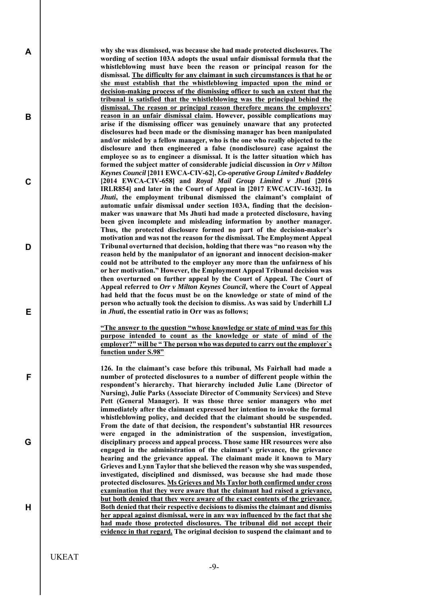**why she was dismissed, was because she had made protected disclosures. The wording of section 103A adopts the usual unfair dismissal formula that the whistleblowing must have been the reason or principal reason for the dismissal. The difficulty for any claimant in such circumstances is that he or she must establish that the whistleblowing impacted upon the mind or decision-making process of the dismissing officer to such an extent that the tribunal is satisfied that the whistleblowing was the principal behind the dismissal. The reason or principal reason therefore means the employers' reason in an unfair dismissal claim. However, possible complications may arise if the dismissing officer was genuinely unaware that any protected disclosures had been made or the dismissing manager has been manipulated and/or misled by a fellow manager, who is the one who really objected to the disclosure and then engineered a false (nondisclosure) case against the employee so as to engineer a dismissal. It is the latter situation which has formed the subject matter of considerable judicial discussion in** *Orr v Milton Keynes Council* **[2011 EWCA-CIV-62],** *Co-operative Group Limited v Baddeley* **[2014 EWCA-CIV-658] and** *Royal Mail Group Limited v Jhuti* **[2016 IRLR854] and later in the Court of Appeal in [2017 EWCACIV-1632]. In**  *Jhuti***, the employment tribunal dismissed the claimant's complaint of automatic unfair dismissal under section 103A, finding that the decisionmaker was unaware that Ms Jhuti had made a protected disclosure, having been given incomplete and misleading information by another manager. Thus, the protected disclosure formed no part of the decision-maker's motivation and was not the reason for the dismissal. The Employment Appeal Tribunal overturned that decision, holding that there was "no reason why the reason held by the manipulator of an ignorant and innocent decision-maker could not be attributed to the employer any more than the unfairness of his or her motivation." However, the Employment Appeal Tribunal decision was then overturned on further appeal by the Court of Appeal. The Court of Appeal referred to** *Orr v Milton Keynes Council***, where the Court of Appeal had held that the focus must be on the knowledge or state of mind of the person who actually took the decision to dismiss. As was said by Underhill LJ in** *Jhuti***, the essential ratio in Orr was as follows;** 

**"The answer to the question "whose knowledge or state of mind was for this purpose intended to count as the knowledge or state of mind of the employer?" will be " The person who was deputed to carry out the employer`s function under S.98"** 

**126. In the claimant's case before this tribunal, Ms Fairhall had made a number of protected disclosures to a number of different people within the respondent's hierarchy. That hierarchy included Julie Lane (Director of Nursing), Julie Parks (Associate Director of Community Services) and Steve**  Pett (General Manager). It was those three senior managers who met **immediately after the claimant expressed her intention to invoke the formal whistleblowing policy, and decided that the claimant should be suspended. From the date of that decision, the respondent's substantial HR resources were engaged in the administration of the suspension, investigation, disciplinary process and appeal process. Those same HR resources were also engaged in the administration of the claimant's grievance, the grievance hearing and the grievance appeal. The claimant made it known to Mary Grieves and Lynn Taylor that she believed the reason why she was suspended, investigated, disciplined and dismissed, was because she had made those protected disclosures. Ms Grieves and Ms Taylor both confirmed under cross examination that they were aware that the claimant had raised a grievance, but both denied that they were aware of the exact contents of the grievance. Both denied that their respective decisions to dismiss the claimant and dismiss her appeal against dismissal, were in any way influenced by the fact that she had made those protected disclosures. The tribunal did not accept their evidence in that regard. The original decision to suspend the claimant and to** 

UKEAT

**A** 

**B** 

**C** 

**D** 

**E** 

**F** 

**G**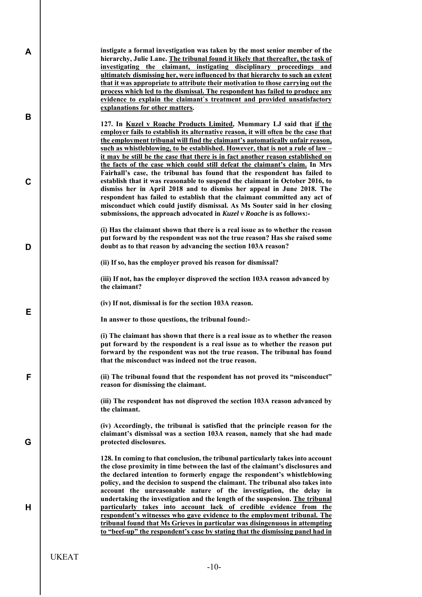| A | instigate a formal investigation was taken by the most senior member of the<br>hierarchy, Julie Lane. The tribunal found it likely that thereafter, the task of                                                                                                                                                                                                                                                                                                                                  |
|---|--------------------------------------------------------------------------------------------------------------------------------------------------------------------------------------------------------------------------------------------------------------------------------------------------------------------------------------------------------------------------------------------------------------------------------------------------------------------------------------------------|
|   | investigating the claimant, instigating disciplinary proceedings and<br>ultimately dismissing her, were influenced by that hierarchy to such an extent<br>that it was appropriate to attribute their motivation to those carrying out the<br>process which led to the dismissal. The respondent has failed to produce any<br>evidence to explain the claimant's treatment and provided unsatisfactory<br>explanations for other matters.                                                         |
| B | 127. In Kuzel v Roache Products Limited, Mummary LJ said that if the<br>employer fails to establish its alternative reason, it will often be the case that<br>the employment tribunal will find the claimant's automatically unfair reason,<br>such as whistleblowing, to be established. However, that is not a rule of law -<br>it may be still be the case that there is in fact another reason established on<br>the facts of the case which could still defeat the claimant's claim. In Mrs |
| C | Fairhall's case, the tribunal has found that the respondent has failed to<br>establish that it was reasonable to suspend the claimant in October 2016, to<br>dismiss her in April 2018 and to dismiss her appeal in June 2018. The<br>respondent has failed to establish that the claimant committed any act of<br>misconduct which could justify dismissal. As Ms Souter said in her closing<br>submissions, the approach advocated in Kuzel v Roache is as follows:-                           |
| D | (i) Has the claimant shown that there is a real issue as to whether the reason<br>put forward by the respondent was not the true reason? Has she raised some<br>doubt as to that reason by advancing the section 103A reason?                                                                                                                                                                                                                                                                    |
|   | (ii) If so, has the employer proved his reason for dismissal?                                                                                                                                                                                                                                                                                                                                                                                                                                    |
|   | (iii) If not, has the employer disproved the section 103A reason advanced by<br>the claimant?                                                                                                                                                                                                                                                                                                                                                                                                    |
|   | (iv) If not, dismissal is for the section 103A reason.                                                                                                                                                                                                                                                                                                                                                                                                                                           |
|   |                                                                                                                                                                                                                                                                                                                                                                                                                                                                                                  |
| Е | In answer to those questions, the tribunal found:-                                                                                                                                                                                                                                                                                                                                                                                                                                               |
|   | (i) The claimant has shown that there is a real issue as to whether the reason<br>put forward by the respondent is a real issue as to whether the reason put<br>forward by the respondent was not the true reason. The tribunal has found<br>that the misconduct was indeed not the true reason.                                                                                                                                                                                                 |
| F | (ii) The tribunal found that the respondent has not proved its "misconduct"<br>reason for dismissing the claimant.                                                                                                                                                                                                                                                                                                                                                                               |
|   | (iii) The respondent has not disproved the section 103A reason advanced by<br>the claimant.                                                                                                                                                                                                                                                                                                                                                                                                      |
| G | (iv) Accordingly, the tribunal is satisfied that the principle reason for the<br>claimant's dismissal was a section 103A reason, namely that she had made<br>protected disclosures.                                                                                                                                                                                                                                                                                                              |
|   | 128. In coming to that conclusion, the tribunal particularly takes into account<br>the close proximity in time between the last of the claimant's disclosures and<br>the declared intention to formerly engage the respondent's whistleblowing<br>policy, and the decision to suspend the claimant. The tribunal also takes into<br>account the unreasonable nature of the investigation, the delay in                                                                                           |
| н | undertaking the investigation and the length of the suspension. The tribunal<br>particularly takes into account lack of credible evidence from the<br>respondent's witnesses who gave evidence to the employment tribunal. The<br>tribunal found that Ms Grieves in particular was disingenuous in attempting<br>to "beef-up" the respondent's case by stating that the dismissing panel had in                                                                                                  |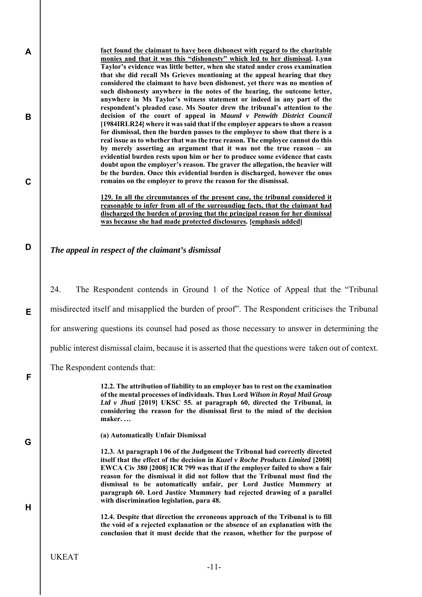**fact found the claimant to have been dishonest with regard to the charitable monies and that it was this "dishonesty" which led to her dismissal. Lynn Taylor's evidence was little better, when she stated under cross examination that she did recall Ms Grieves mentioning at the appeal hearing that they considered the claimant to have been dishonest, yet there was no mention of such dishonesty anywhere in the notes of the hearing, the outcome letter, anywhere in Ms Taylor's witness statement or indeed in any part of the respondent's pleaded case. Ms Souter drew the tribunal's attention to the decision of the court of appeal in** *Maund v Penwith District Council* **[1984IRLR24] where it was said that if the employer appears to show a reason for dismissal, then the burden passes to the employee to show that there is a real issue as to whether that was the true reason. The employee cannot do this by merely asserting an argument that it was not the true reason – an evidential burden rests upon him or her to produce some evidence that casts doubt upon the employer's reason. The graver the allegation, the heavier will be the burden. Once this evidential burden is discharged, however the onus remains on the employer to prove the reason for the dismissal.** 

**129. In all the circumstances of the present case, the tribunal considered it reasonable to infer from all of the surrounding facts, that the claimant had discharged the burden of proving that the principal reason for her dismissal was because she had made protected disclosures. [emphasis added]** 

# *The appeal in respect of the claimant's dismissal*

24. The Respondent contends in Ground 1 of the Notice of Appeal that the "Tribunal

misdirected itself and misapplied the burden of proof". The Respondent criticises the Tribunal

for answering questions its counsel had posed as those necessary to answer in determining the

public interest dismissal claim, because it is asserted that the questions were taken out of context.

The Respondent contends that:

**12.2. The attribution of liability to an employer has to rest on the examination of the mental processes of individuals. Thus Lord** *Wilson in Royal Mail Group Ltd v Jhuti* **[2019] UKSC 55. at paragraph 60, directed the Tribunal, in considering the reason for the dismissal first to the mind of the decision maker. …** 

**G** 

**A** 

**B** 

**C** 

**D** 

**E** 

**F** 

**H** 

**(a) Automatically Unfair Dismissal** 

**12.3. At paragraph l 06 of the Judgment the Tribunal had correctly directed itself that the effect of the decision in** *Kuzel v Roche Products Limited* **[2008] EWCA Civ 380 [2008] ICR 799 was that if the employer failed to show a fair reason for the dismissal it did not follow that the Tribunal must find the dismissal to be automatically unfair, per Lord Justice Mummery at paragraph 60. Lord Justice Mummery had rejected drawing of a parallel with discrimination legislation, para 48.** 

**12.4. Despite that direction the erroneous approach of the Tribunal is to fill the void of a rejected explanation or the absence of an explanation with the conclusion that it must decide that the reason, whether for the purpose of**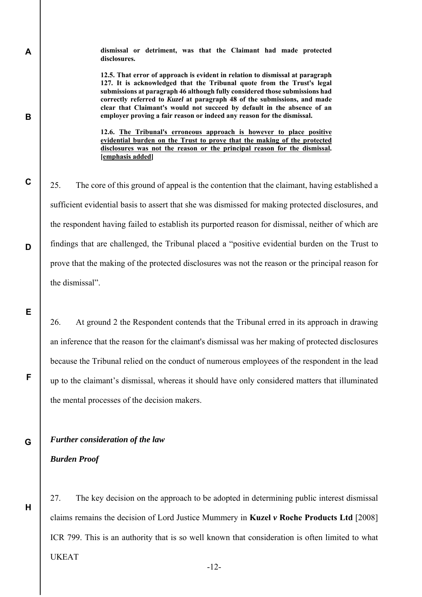**dismissal or detriment, was that the Claimant had made protected disclosures.** 

**12.5. That error of approach is evident in relation to dismissal at paragraph 127. It is acknowledged that the Tribunal quote from the Trust's legal submissions at paragraph 46 although fully considered those submissions had correctly referred to** *Kuzel* **at paragraph 48 of the submissions, and made clear that Claimant's would not succeed by default in the absence of an employer proving a fair reason or indeed any reason for the dismissal.** 

**12.6. The Tribunal's erroneous approach is however to place positive evidential burden on the Trust to prove that the making of the protected disclosures was not the reason or the principal reason for the dismissal. [emphasis added]** 

25. The core of this ground of appeal is the contention that the claimant, having established a sufficient evidential basis to assert that she was dismissed for making protected disclosures, and the respondent having failed to establish its purported reason for dismissal, neither of which are findings that are challenged, the Tribunal placed a "positive evidential burden on the Trust to prove that the making of the protected disclosures was not the reason or the principal reason for the dismissal".

26. At ground 2 the Respondent contends that the Tribunal erred in its approach in drawing an inference that the reason for the claimant's dismissal was her making of protected disclosures because the Tribunal relied on the conduct of numerous employees of the respondent in the lead up to the claimant's dismissal, whereas it should have only considered matters that illuminated the mental processes of the decision makers.

*Further consideration of the law* 

*Burden Proof* 

**A** 

**B** 

**C** 

**D** 

**E** 

**F** 

**G** 

**H** 

UKEAT 27. The key decision on the approach to be adopted in determining public interest dismissal claims remains the decision of Lord Justice Mummery in **Kuzel** *v* **Roche Products Ltd** [2008] ICR 799. This is an authority that is so well known that consideration is often limited to what

-12-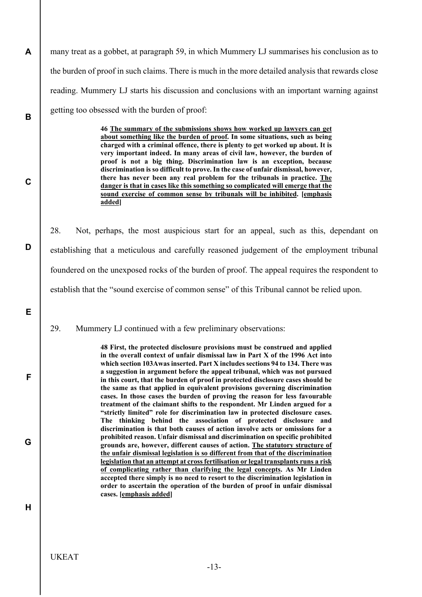many treat as a gobbet, at paragraph 59, in which Mummery LJ summarises his conclusion as to the burden of proof in such claims. There is much in the more detailed analysis that rewards close reading. Mummery LJ starts his discussion and conclusions with an important warning against getting too obsessed with the burden of proof:

> **46 The summary of the submissions shows how worked up lawyers can get about something like the burden of proof. In some situations, such as being charged with a criminal offence, there is plenty to get worked up about. It is very important indeed. In many areas of civil law, however, the burden of proof is not a big thing. Discrimination law is an exception, because discrimination is so difficult to prove. In the case of unfair dismissal, however, there has never been any real problem for the tribunals in practice. The danger is that in cases like this something so complicated will emerge that the sound exercise of common sense by tribunals will be inhibited. [emphasis added]**

28. Not, perhaps, the most auspicious start for an appeal, such as this, dependant on establishing that a meticulous and carefully reasoned judgement of the employment tribunal foundered on the unexposed rocks of the burden of proof. The appeal requires the respondent to establish that the "sound exercise of common sense" of this Tribunal cannot be relied upon.

29. Mummery LJ continued with a few preliminary observations:

**48 First, the protected disclosure provisions must be construed and applied in the overall context of unfair dismissal law in Part X of the 1996 Act into which section 103Awas inserted. Part X includes sections 94 to 134. There was a suggestion in argument before the appeal tribunal, which was not pursued in this court, that the burden of proof in protected disclosure cases should be the same as that applied in equivalent provisions governing discrimination cases. In those cases the burden of proving the reason for less favourable treatment of the claimant shifts to the respondent. Mr Linden argued for a "strictly limited" role for discrimination law in protected disclosure cases. The thinking behind the association of protected disclosure and discrimination is that both causes of action involve acts or omissions for a prohibited reason. Unfair dismissal and discrimination on specific prohibited grounds are, however, different causes of action. The statutory structure of the unfair dismissal legislation is so different from that of the discrimination legislation that an attempt at cross fertilisation or legal transplants runs a risk of complicating rather than clarifying the legal concepts. As Mr Linden accepted there simply is no need to resort to the discrimination legislation in order to ascertain the operation of the burden of proof in unfair dismissal cases. [emphasis added]** 

**H** 

**A** 

**B** 

**C** 

**D** 

**E** 

**F** 

**G**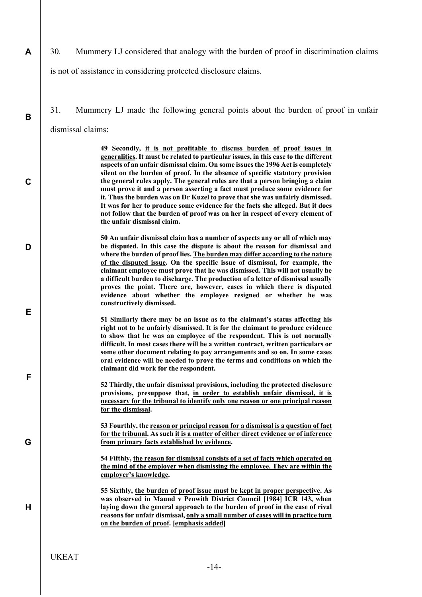30. Mummery LJ considered that analogy with the burden of proof in discrimination claims

is not of assistance in considering protected disclosure claims.

**A** 

**B** 

**C** 

**D** 

**E** 

**F** 

**G** 

**H** 

31. Mummery LJ made the following general points about the burden of proof in unfair dismissal claims:

> **49 Secondly, it is not profitable to discuss burden of proof issues in generalities. It must be related to particular issues, in this case to the different aspects of an unfair dismissal claim. On some issues the 1996 Act is completely silent on the burden of proof. In the absence of specific statutory provision the general rules apply. The general rules are that a person bringing a claim must prove it and a person asserting a fact must produce some evidence for it. Thus the burden was on Dr Kuzel to prove that she was unfairly dismissed. It was for her to produce some evidence for the facts she alleged. But it does not follow that the burden of proof was on her in respect of every element of the unfair dismissal claim.**

> **50 An unfair dismissal claim has a number of aspects any or all of which may be disputed. In this case the dispute is about the reason for dismissal and where the burden of proof lies. The burden may differ according to the nature of the disputed issue. On the specific issue of dismissal, for example, the claimant employee must prove that he was dismissed. This will not usually be a difficult burden to discharge. The production of a letter of dismissal usually proves the point. There are, however, cases in which there is disputed evidence about whether the employee resigned or whether he was constructively dismissed.**

> **51 Similarly there may be an issue as to the claimant's status affecting his right not to be unfairly dismissed. It is for the claimant to produce evidence to show that he was an employee of the respondent. This is not normally difficult. In most cases there will be a written contract, written particulars or some other document relating to pay arrangements and so on. In some cases oral evidence will be needed to prove the terms and conditions on which the claimant did work for the respondent.**

> **52 Thirdly, the unfair dismissal provisions, including the protected disclosure provisions, presuppose that, in order to establish unfair dismissal, it is necessary for the tribunal to identify only one reason or one principal reason for the dismissal.**

> **53 Fourthly, the reason or principal reason for a dismissal is a question of fact for the tribunal. As such it is a matter of either direct evidence or of inference from primary facts established by evidence.**

> **54 Fifthly, the reason for dismissal consists of a set of facts which operated on the mind of the employer when dismissing the employee. They are within the employer's knowledge.**

> **55 Sixthly, the burden of proof issue must be kept in proper perspective. As was observed in Maund v Penwith District Council [1984] ICR 143, when laying down the general approach to the burden of proof in the case of rival reasons for unfair dismissal, only a small number of cases will in practice turn on the burden of proof. [emphasis added]**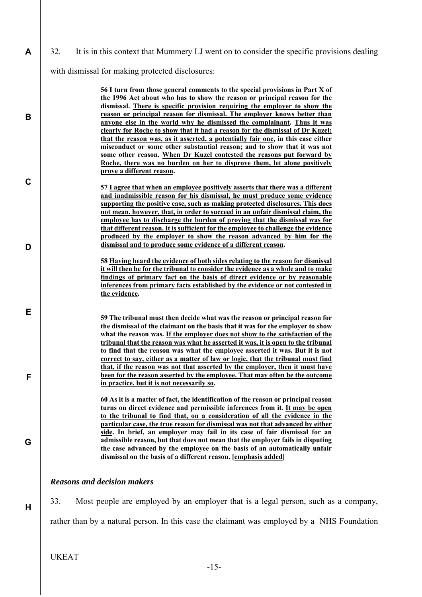**B**  with dismissal for making protected disclosures: **56 I turn from those general comments to the special provisions in Part X of the 1996 Act about who has to show the reason or principal reason for the dismissal. There is specific provision requiring the employer to show the reason or principal reason for dismissal. The employer knows better than anyone else in the world why he dismissed the complainant. Thus it was clearly for Roche to show that it had a reason for the dismissal of Dr Kuzel; that the reason was, as it asserted, a potentially fair one, in this case either misconduct or some other substantial reason; and to show that it was not some other reason. When Dr Kuzel contested the reasons put forward by Roche, there was no burden on her to disprove them, let alone positively prove a different reason.** 

32. It is in this context that Mummery LJ went on to consider the specific provisions dealing

- **57 I agree that when an employee positively asserts that there was a different and inadmissible reason for his dismissal, he must produce some evidence supporting the positive case, such as making protected disclosures. This does not mean, however, that, in order to succeed in an unfair dismissal claim, the employee has to discharge the burden of proving that the dismissal was for that different reason. It is sufficient for the employee to challenge the evidence produced by the employer to show the reason advanced by him for the dismissal and to produce some evidence of a different reason.**
- **58 Having heard the evidence of both sides relating to the reason for dismissal it will then be for the tribunal to consider the evidence as a whole and to make findings of primary fact on the basis of direct evidence or by reasonable inferences from primary facts established by the evidence or not contested in the evidence.**

**59 The tribunal must then decide what was the reason or principal reason for the dismissal of the claimant on the basis that it was for the employer to show what the reason was. If the employer does not show to the satisfaction of the tribunal that the reason was what he asserted it was, it is open to the tribunal to find that the reason was what the employee asserted it was. But it is not correct to say, either as a matter of law or logic, that the tribunal must find that, if the reason was not that asserted by the employer, then it must have been for the reason asserted by the employee. That may often be the outcome in practice, but it is not necessarily so.** 

**60 As it is a matter of fact, the identification of the reason or principal reason turns on direct evidence and permissible inferences from it. It may be open to the tribunal to find that, on a consideration of all the evidence in the particular case, the true reason for dismissal was not that advanced by either side. In brief, an employer may fail in its case of fair dismissal for an admissible reason, but that does not mean that the employer fails in disputing the case advanced by the employee on the basis of an automatically unfair dismissal on the basis of a different reason. [emphasis added]** 

## *Reasons and decision makers*

33. Most people are employed by an employer that is a legal person, such as a company, rather than by a natural person. In this case the claimant was employed by a NHS Foundation

UKEAT

**A** 

**C** 

**D** 

**E** 

**F** 

**G** 

**H** 

-15-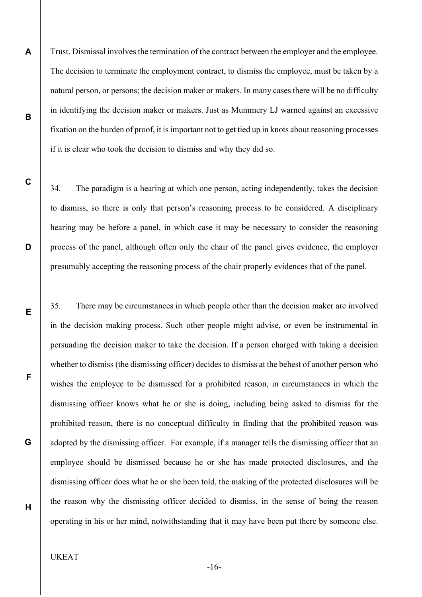Trust. Dismissal involves the termination of the contract between the employer and the employee. The decision to terminate the employment contract, to dismiss the employee, must be taken by a natural person, or persons; the decision maker or makers. In many cases there will be no difficulty in identifying the decision maker or makers. Just as Mummery LJ warned against an excessive fixation on the burden of proof, it is important not to get tied up in knots about reasoning processes if it is clear who took the decision to dismiss and why they did so.

34. The paradigm is a hearing at which one person, acting independently, takes the decision to dismiss, so there is only that person's reasoning process to be considered. A disciplinary hearing may be before a panel, in which case it may be necessary to consider the reasoning process of the panel, although often only the chair of the panel gives evidence, the employer presumably accepting the reasoning process of the chair properly evidences that of the panel.

35. There may be circumstances in which people other than the decision maker are involved in the decision making process. Such other people might advise, or even be instrumental in persuading the decision maker to take the decision. If a person charged with taking a decision whether to dismiss (the dismissing officer) decides to dismiss at the behest of another person who wishes the employee to be dismissed for a prohibited reason, in circumstances in which the dismissing officer knows what he or she is doing, including being asked to dismiss for the prohibited reason, there is no conceptual difficulty in finding that the prohibited reason was adopted by the dismissing officer. For example, if a manager tells the dismissing officer that an employee should be dismissed because he or she has made protected disclosures, and the dismissing officer does what he or she been told, the making of the protected disclosures will be the reason why the dismissing officer decided to dismiss, in the sense of being the reason operating in his or her mind, notwithstanding that it may have been put there by someone else.

## UKEAT

**A** 

**B** 

**C** 

**D** 

**E** 

**F** 

**G** 

**H** 

-16-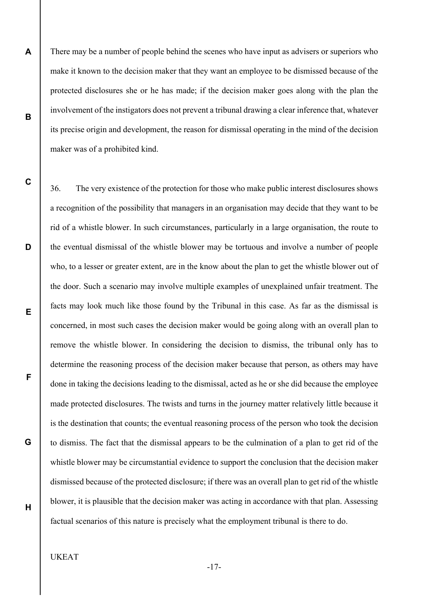There may be a number of people behind the scenes who have input as advisers or superiors who make it known to the decision maker that they want an employee to be dismissed because of the protected disclosures she or he has made; if the decision maker goes along with the plan the involvement of the instigators does not prevent a tribunal drawing a clear inference that, whatever its precise origin and development, the reason for dismissal operating in the mind of the decision maker was of a prohibited kind.

36. The very existence of the protection for those who make public interest disclosures shows a recognition of the possibility that managers in an organisation may decide that they want to be rid of a whistle blower. In such circumstances, particularly in a large organisation, the route to the eventual dismissal of the whistle blower may be tortuous and involve a number of people who, to a lesser or greater extent, are in the know about the plan to get the whistle blower out of the door. Such a scenario may involve multiple examples of unexplained unfair treatment. The facts may look much like those found by the Tribunal in this case. As far as the dismissal is concerned, in most such cases the decision maker would be going along with an overall plan to remove the whistle blower. In considering the decision to dismiss, the tribunal only has to determine the reasoning process of the decision maker because that person, as others may have done in taking the decisions leading to the dismissal, acted as he or she did because the employee made protected disclosures. The twists and turns in the journey matter relatively little because it is the destination that counts; the eventual reasoning process of the person who took the decision to dismiss. The fact that the dismissal appears to be the culmination of a plan to get rid of the whistle blower may be circumstantial evidence to support the conclusion that the decision maker dismissed because of the protected disclosure; if there was an overall plan to get rid of the whistle blower, it is plausible that the decision maker was acting in accordance with that plan. Assessing factual scenarios of this nature is precisely what the employment tribunal is there to do.

# UKEAT

**A** 

**B** 

**C** 

**D** 

**E** 

**F** 

**G** 

**H** 

-17-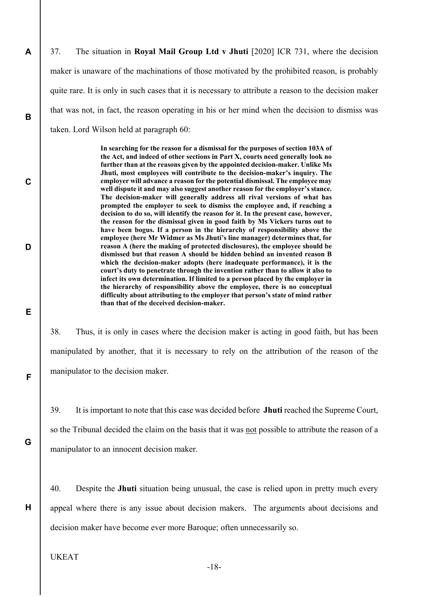37. The situation in **Royal Mail Group Ltd v Jhuti** [2020] ICR 731, where the decision maker is unaware of the machinations of those motivated by the prohibited reason, is probably quite rare. It is only in such cases that it is necessary to attribute a reason to the decision maker that was not, in fact, the reason operating in his or her mind when the decision to dismiss was taken. Lord Wilson held at paragraph 60:

> **In searching for the reason for a dismissal for the purposes of section 103A of the Act, and indeed of other sections in Part X, courts need generally look no further than at the reasons given by the appointed decision-maker. Unlike Ms Jhuti, most employees will contribute to the decision-maker's inquiry. The employer will advance a reason for the potential dismissal. The employee may well dispute it and may also suggest another reason for the employer's stance. The decision-maker will generally address all rival versions of what has prompted the employer to seek to dismiss the employee and, if reaching a decision to do so, will identify the reason for it. In the present case, however, the reason for the dismissal given in good faith by Ms Vickers turns out to have been bogus. If a person in the hierarchy of responsibility above the employee (here Mr Widmer as Ms Jhuti's line manager) determines that, for reason A (here the making of protected disclosures), the employee should be dismissed but that reason A should be hidden behind an invented reason B which the decision-maker adopts (here inadequate performance), it is the court's duty to penetrate through the invention rather than to allow it also to infect its own determination. If limited to a person placed by the employer in the hierarchy of responsibility above the employee, there is no conceptual difficulty about attributing to the employer that person's state of mind rather than that of the deceived decision-maker.**

38. Thus, it is only in cases where the decision maker is acting in good faith, but has been manipulated by another, that it is necessary to rely on the attribution of the reason of the manipulator to the decision maker.

39. It is important to note that this case was decided before **Jhuti** reached the Supreme Court, so the Tribunal decided the claim on the basis that it was not possible to attribute the reason of a manipulator to an innocent decision maker.

40. Despite the **Jhuti** situation being unusual, the case is relied upon in pretty much every appeal where there is any issue about decision makers. The arguments about decisions and decision maker have become ever more Baroque; often unnecessarily so.

UKEAT

**A** 

**B** 

**C** 

**D** 

**E** 

**F** 

**G** 

**H** 

-18-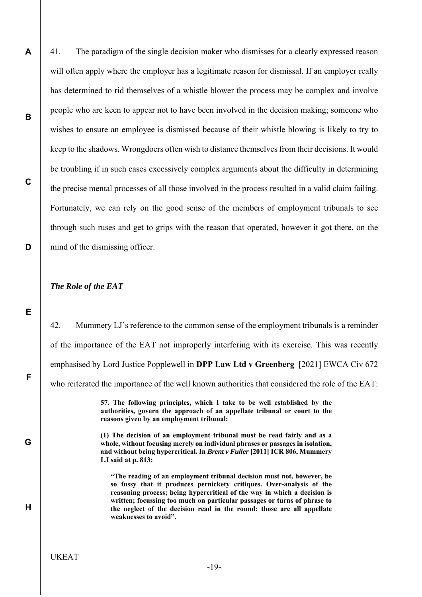41. The paradigm of the single decision maker who dismisses for a clearly expressed reason will often apply where the employer has a legitimate reason for dismissal. If an employer really has determined to rid themselves of a whistle blower the process may be complex and involve people who are keen to appear not to have been involved in the decision making; someone who wishes to ensure an employee is dismissed because of their whistle blowing is likely to try to keep to the shadows. Wrongdoers often wish to distance themselves from their decisions. It would be troubling if in such cases excessively complex arguments about the difficulty in determining the precise mental processes of all those involved in the process resulted in a valid claim failing. Fortunately, we can rely on the good sense of the members of employment tribunals to see through such ruses and get to grips with the reason that operated, however it got there, on the mind of the dismissing officer.

#### *The Role of the EAT*

**A** 

**B** 

**C** 

**D** 

**E** 

**F** 

**G** 

**H** 

42. Mummery LJ's reference to the common sense of the employment tribunals is a reminder of the importance of the EAT not improperly interfering with its exercise. This was recently emphasised by Lord Justice Popplewell in **DPP Law Ltd v Greenberg** [2021] EWCA Civ 672 who reiterated the importance of the well known authorities that considered the role of the EAT:

> **57. The following principles, which I take to be well established by the authorities, govern the approach of an appellate tribunal or court to the reasons given by an employment tribunal:**

> **(1) The decision of an employment tribunal must be read fairly and as a whole, without focusing merely on individual phrases or passages in isolation, and without being hypercritical. In** *Brent v Fuller* **[2011] ICR 806, Mummery LJ said at p. 813:**

**"The reading of an employment tribunal decision must not, however, be so fussy that it produces pernickety critiques. Over-analysis of the reasoning process; being hypercritical of the way in which a decision is written; focussing too much on particular passages or turns of phrase to the neglect of the decision read in the round: those are all appellate weaknesses to avoid".**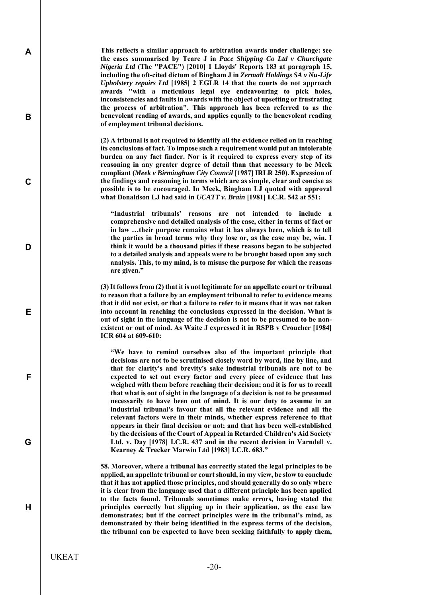**This reflects a similar approach to arbitration awards under challenge: see the cases summarised by Teare J in** *Pace Shipping Co Ltd v Churchgate Nigeria Ltd* **(The "PACE") [2010] 1 Lloyds' Reports 183 at paragraph 15, including the oft-cited dictum of Bingham J in** *Zermalt Holdings SA v Nu-Life Upholstery repairs Ltd* **[1985] 2 EGLR 14 that the courts do not approach awards "with a meticulous legal eye endeavouring to pick holes, inconsistencies and faults in awards with the object of upsetting or frustrating the process of arbitration". This approach has been referred to as the benevolent reading of awards, and applies equally to the benevolent reading of employment tribunal decisions.** 

**(2) A tribunal is not required to identify all the evidence relied on in reaching its conclusions of fact. To impose such a requirement would put an intolerable burden on any fact finder. Nor is it required to express every step of its reasoning in any greater degree of detail than that necessary to be Meek compliant (***Meek v Birmingham City Council* **[1987] IRLR 250). Expression of the findings and reasoning in terms which are as simple, clear and concise as possible is to be encouraged. In Meek, Bingham LJ quoted with approval what Donaldson LJ had said in** *UCATT v. Brain* **[1981] I.C.R. 542 at 551:** 

**"Industrial tribunals' reasons are not intended to include a comprehensive and detailed analysis of the case, either in terms of fact or in law …their purpose remains what it has always been, which is to tell the parties in broad terms why they lose or, as the case may be, win. I think it would be a thousand pities if these reasons began to be subjected to a detailed analysis and appeals were to be brought based upon any such analysis. This, to my mind, is to misuse the purpose for which the reasons are given."** 

**(3) It follows from (2) that it is not legitimate for an appellate court or tribunal to reason that a failure by an employment tribunal to refer to evidence means that it did not exist, or that a failure to refer to it means that it was not taken into account in reaching the conclusions expressed in the decision. What is out of sight in the language of the decision is not to be presumed to be nonexistent or out of mind. As Waite J expressed it in RSPB v Croucher [1984] ICR 604 at 609-610:** 

**"We have to remind ourselves also of the important principle that decisions are not to be scrutinised closely word by word, line by line, and that for clarity's and brevity's sake industrial tribunals are not to be expected to set out every factor and every piece of evidence that has weighed with them before reaching their decision; and it is for us to recall that what is out of sight in the language of a decision is not to be presumed necessarily to have been out of mind. It is our duty to assume in an industrial tribunal's favour that all the relevant evidence and all the relevant factors were in their minds, whether express reference to that appears in their final decision or not; and that has been well-established by the decisions of the Court of Appeal in Retarded Children's Aid Society Ltd. v. Day [1978] I.C.R. 437 and in the recent decision in Varndell v. Kearney & Trecker Marwin Ltd [1983] I.C.R. 683."** 

**58. Moreover, where a tribunal has correctly stated the legal principles to be applied, an appellate tribunal or court should, in my view, be slow to conclude that it has not applied those principles, and should generally do so only where it is clear from the language used that a different principle has been applied to the facts found. Tribunals sometimes make errors, having stated the principles correctly but slipping up in their application, as the case law demonstrates; but if the correct principles were in the tribunal's mind, as demonstrated by their being identified in the express terms of the decision, the tribunal can be expected to have been seeking faithfully to apply them,** 

UKEAT

**A** 

**B** 

**C** 

**D** 

**E** 

**F** 

**G**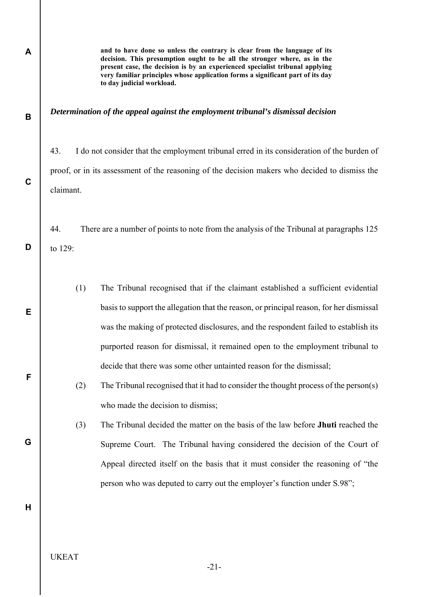**to day judicial workload.**  *Determination of the appeal against the employment tribunal's dismissal decision*  43. I do not consider that the employment tribunal erred in its consideration of the burden of proof, or in its assessment of the reasoning of the decision makers who decided to dismiss the claimant. 44. There are a number of points to note from the analysis of the Tribunal at paragraphs 125 to 129: (1) The Tribunal recognised that if the claimant established a sufficient evidential basis to support the allegation that the reason, or principal reason, for her dismissal was the making of protected disclosures, and the respondent failed to establish its purported reason for dismissal, it remained open to the employment tribunal to decide that there was some other untainted reason for the dismissal; (2) The Tribunal recognised that it had to consider the thought process of the person(s) who made the decision to dismiss; (3) The Tribunal decided the matter on the basis of the law before **Jhuti** reached the Supreme Court. The Tribunal having considered the decision of the Court of Appeal directed itself on the basis that it must consider the reasoning of "the person who was deputed to carry out the employer's function under S.98";

**and to have done so unless the contrary is clear from the language of its decision. This presumption ought to be all the stronger where, as in the present case, the decision is by an experienced specialist tribunal applying very familiar principles whose application forms a significant part of its day** 

UKEAT

**A** 

**B** 

**C** 

**D** 

**E** 

**F** 

**G** 

**H** 

-21-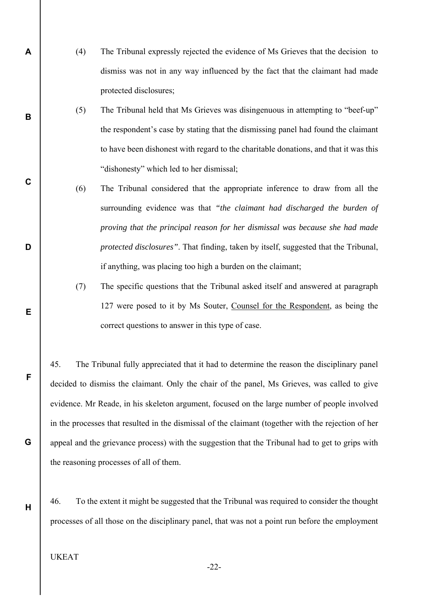- (4) The Tribunal expressly rejected the evidence of Ms Grieves that the decision to dismiss was not in any way influenced by the fact that the claimant had made protected disclosures;
	- (5) The Tribunal held that Ms Grieves was disingenuous in attempting to "beef-up" the respondent's case by stating that the dismissing panel had found the claimant to have been dishonest with regard to the charitable donations, and that it was this "dishonesty" which led to her dismissal;
	- (6) The Tribunal considered that the appropriate inference to draw from all the surrounding evidence was that *"the claimant had discharged the burden of proving that the principal reason for her dismissal was because she had made protected disclosures"*. That finding, taken by itself, suggested that the Tribunal, if anything, was placing too high a burden on the claimant;
	- (7) The specific questions that the Tribunal asked itself and answered at paragraph 127 were posed to it by Ms Souter, Counsel for the Respondent, as being the correct questions to answer in this type of case.

45. The Tribunal fully appreciated that it had to determine the reason the disciplinary panel decided to dismiss the claimant. Only the chair of the panel, Ms Grieves, was called to give evidence. Mr Reade, in his skeleton argument, focused on the large number of people involved in the processes that resulted in the dismissal of the claimant (together with the rejection of her appeal and the grievance process) with the suggestion that the Tribunal had to get to grips with the reasoning processes of all of them.

46. To the extent it might be suggested that the Tribunal was required to consider the thought processes of all those on the disciplinary panel, that was not a point run before the employment

## UKEAT

**A** 

**B** 

**C** 

**D** 

**E** 

**F** 

**G** 

**H** 

-22-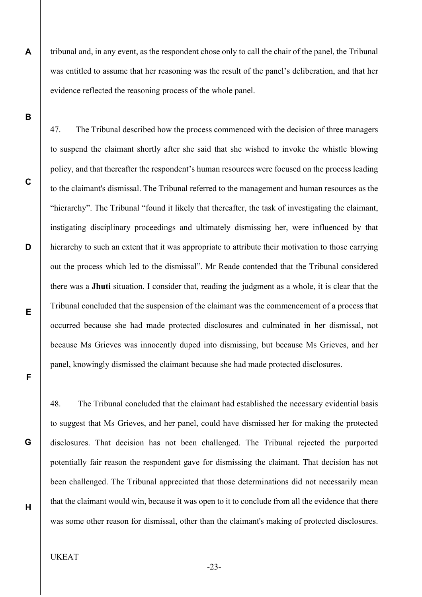tribunal and, in any event, as the respondent chose only to call the chair of the panel, the Tribunal was entitled to assume that her reasoning was the result of the panel's deliberation, and that her evidence reflected the reasoning process of the whole panel.

47. The Tribunal described how the process commenced with the decision of three managers to suspend the claimant shortly after she said that she wished to invoke the whistle blowing policy, and that thereafter the respondent's human resources were focused on the process leading to the claimant's dismissal. The Tribunal referred to the management and human resources as the "hierarchy". The Tribunal "found it likely that thereafter, the task of investigating the claimant, instigating disciplinary proceedings and ultimately dismissing her, were influenced by that hierarchy to such an extent that it was appropriate to attribute their motivation to those carrying out the process which led to the dismissal". Mr Reade contended that the Tribunal considered there was a **Jhuti** situation. I consider that, reading the judgment as a whole, it is clear that the Tribunal concluded that the suspension of the claimant was the commencement of a process that occurred because she had made protected disclosures and culminated in her dismissal, not because Ms Grieves was innocently duped into dismissing, but because Ms Grieves, and her panel, knowingly dismissed the claimant because she had made protected disclosures.

48. The Tribunal concluded that the claimant had established the necessary evidential basis to suggest that Ms Grieves, and her panel, could have dismissed her for making the protected disclosures. That decision has not been challenged. The Tribunal rejected the purported potentially fair reason the respondent gave for dismissing the claimant. That decision has not been challenged. The Tribunal appreciated that those determinations did not necessarily mean that the claimant would win, because it was open to it to conclude from all the evidence that there was some other reason for dismissal, other than the claimant's making of protected disclosures.

# UKEAT

**A** 

**B** 

**C** 

**D** 

**E** 

**F** 

**G** 

**H** 

-23-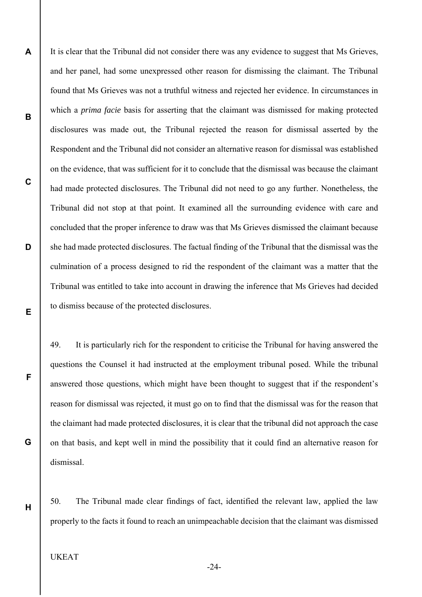**A B C D**  It is clear that the Tribunal did not consider there was any evidence to suggest that Ms Grieves, and her panel, had some unexpressed other reason for dismissing the claimant. The Tribunal found that Ms Grieves was not a truthful witness and rejected her evidence. In circumstances in which a *prima facie* basis for asserting that the claimant was dismissed for making protected disclosures was made out, the Tribunal rejected the reason for dismissal asserted by the Respondent and the Tribunal did not consider an alternative reason for dismissal was established on the evidence, that was sufficient for it to conclude that the dismissal was because the claimant had made protected disclosures. The Tribunal did not need to go any further. Nonetheless, the Tribunal did not stop at that point. It examined all the surrounding evidence with care and concluded that the proper inference to draw was that Ms Grieves dismissed the claimant because she had made protected disclosures. The factual finding of the Tribunal that the dismissal was the culmination of a process designed to rid the respondent of the claimant was a matter that the Tribunal was entitled to take into account in drawing the inference that Ms Grieves had decided to dismiss because of the protected disclosures.

49. It is particularly rich for the respondent to criticise the Tribunal for having answered the questions the Counsel it had instructed at the employment tribunal posed. While the tribunal answered those questions, which might have been thought to suggest that if the respondent's reason for dismissal was rejected, it must go on to find that the dismissal was for the reason that the claimant had made protected disclosures, it is clear that the tribunal did not approach the case on that basis, and kept well in mind the possibility that it could find an alternative reason for dismissal.

50. The Tribunal made clear findings of fact, identified the relevant law, applied the law properly to the facts it found to reach an unimpeachable decision that the claimant was dismissed

## UKEAT

**E** 

**F** 

**G** 

**H** 

-24-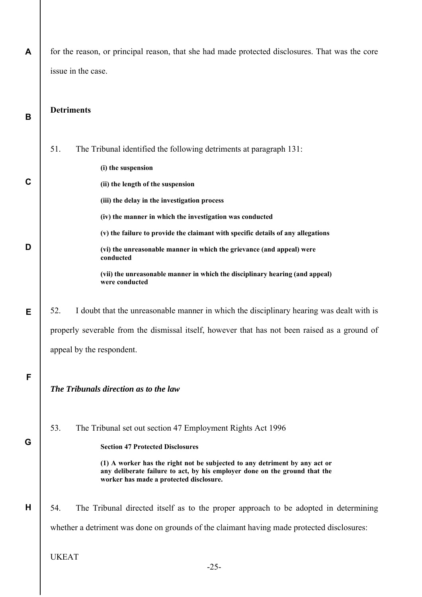| A           | for the reason, or principal reason, that she had made protected disclosures. That was the core                                                                                                     |
|-------------|-----------------------------------------------------------------------------------------------------------------------------------------------------------------------------------------------------|
|             | issue in the case.                                                                                                                                                                                  |
|             |                                                                                                                                                                                                     |
| B           | <b>Detriments</b>                                                                                                                                                                                   |
|             |                                                                                                                                                                                                     |
|             | 51.<br>The Tribunal identified the following detriments at paragraph 131:                                                                                                                           |
|             | (i) the suspension                                                                                                                                                                                  |
| $\mathbf C$ | (ii) the length of the suspension                                                                                                                                                                   |
|             | (iii) the delay in the investigation process                                                                                                                                                        |
|             | (iv) the manner in which the investigation was conducted                                                                                                                                            |
|             | (v) the failure to provide the claimant with specific details of any allegations                                                                                                                    |
| D           | (vi) the unreasonable manner in which the grievance (and appeal) were<br>conducted                                                                                                                  |
|             | (vii) the unreasonable manner in which the disciplinary hearing (and appeal)<br>were conducted                                                                                                      |
| Е           | I doubt that the unreasonable manner in which the disciplinary hearing was dealt with is<br>52.                                                                                                     |
|             | properly severable from the dismissal itself, however that has not been raised as a ground of                                                                                                       |
|             | appeal by the respondent.                                                                                                                                                                           |
| F           |                                                                                                                                                                                                     |
|             | The Tribunals direction as to the law                                                                                                                                                               |
|             |                                                                                                                                                                                                     |
|             | 53.<br>The Tribunal set out section 47 Employment Rights Act 1996                                                                                                                                   |
| G           | <b>Section 47 Protected Disclosures</b>                                                                                                                                                             |
|             | (1) A worker has the right not be subjected to any detriment by any act or<br>any deliberate failure to act, by his employer done on the ground that the<br>worker has made a protected disclosure. |
| H           | 54.<br>The Tribunal directed itself as to the proper approach to be adopted in determining                                                                                                          |
|             | whether a detriment was done on grounds of the claimant having made protected disclosures:                                                                                                          |
|             | <b>UKEAT</b>                                                                                                                                                                                        |
|             | $-25-$                                                                                                                                                                                              |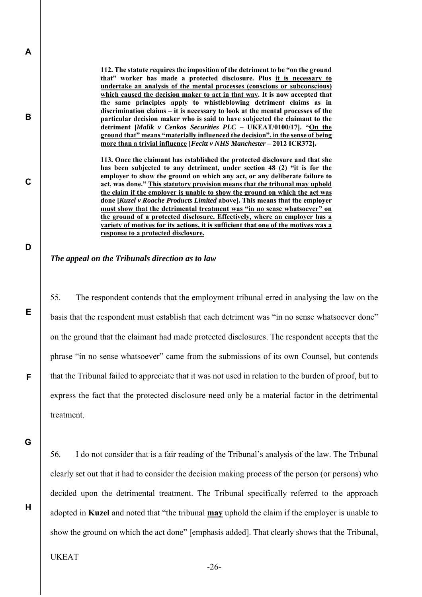**112. The statute requires the imposition of the detriment to be "on the ground that" worker has made a protected disclosure. Plus it is necessary to undertake an analysis of the mental processes (conscious or subconscious) which caused the decision maker to act in that way. It is now accepted that the same principles apply to whistleblowing detriment claims as in discrimination claims – it is necessary to look at the mental processes of the particular decision maker who is said to have subjected the claimant to the detriment [***Malik v Cenkos Securities PLC* **– UKEAT/0100/17]. "On the ground that" means "materially influenced the decision", in the sense of being more than a trivial influence [***Fecitt v NHS Manchester* **– 2012 ICR372].** 

**113. Once the claimant has established the protected disclosure and that she has been subjected to any detriment, under section 48 (2) "it is for the employer to show the ground on which any act, or any deliberate failure to act, was done." This statutory provision means that the tribunal may uphold the claim if the employer is unable to show the ground on which the act was done [***Kuzel v Roache Products Limited* **above]. This means that the employer must show that the detrimental treatment was "in no sense whatsoever" on the ground of a protected disclosure. Effectively, where an employer has a variety of motives for its actions, it is sufficient that one of the motives was a response to a protected disclosure.** 

#### *The appeal on the Tribunals direction as to law*

55. The respondent contends that the employment tribunal erred in analysing the law on the basis that the respondent must establish that each detriment was "in no sense whatsoever done" on the ground that the claimant had made protected disclosures. The respondent accepts that the phrase "in no sense whatsoever" came from the submissions of its own Counsel, but contends that the Tribunal failed to appreciate that it was not used in relation to the burden of proof, but to express the fact that the protected disclosure need only be a material factor in the detrimental treatment.

**G** 

**H** 

**A** 

**B** 

**C** 

**D** 

**E** 

**F** 

56. I do not consider that is a fair reading of the Tribunal's analysis of the law. The Tribunal clearly set out that it had to consider the decision making process of the person (or persons) who decided upon the detrimental treatment. The Tribunal specifically referred to the approach adopted in **Kuzel** and noted that "the tribunal **may** uphold the claim if the employer is unable to show the ground on which the act done" [emphasis added]. That clearly shows that the Tribunal,

UKEAT

-26-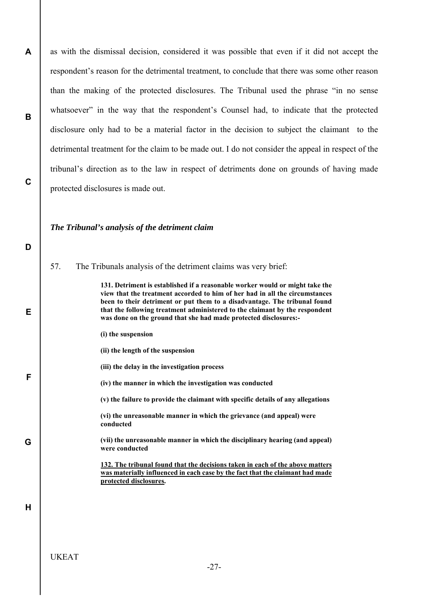as with the dismissal decision, considered it was possible that even if it did not accept the respondent's reason for the detrimental treatment, to conclude that there was some other reason than the making of the protected disclosures. The Tribunal used the phrase "in no sense whatsoever" in the way that the respondent's Counsel had, to indicate that the protected disclosure only had to be a material factor in the decision to subject the claimant to the detrimental treatment for the claim to be made out. I do not consider the appeal in respect of the tribunal's direction as to the law in respect of detriments done on grounds of having made protected disclosures is made out.

### *The Tribunal's analysis of the detriment claim*

57. The Tribunals analysis of the detriment claims was very brief:

**131. Detriment is established if a reasonable worker would or might take the view that the treatment accorded to him of her had in all the circumstances been to their detriment or put them to a disadvantage. The tribunal found that the following treatment administered to the claimant by the respondent was done on the ground that she had made protected disclosures:-** 

- **(i) the suspension**
- **(ii) the length of the suspension**
- **(iii) the delay in the investigation process**
- **(iv) the manner in which the investigation was conducted**

**(v) the failure to provide the claimant with specific details of any allegations** 

**(vi) the unreasonable manner in which the grievance (and appeal) were conducted** 

**(vii) the unreasonable manner in which the disciplinary hearing (and appeal) were conducted** 

**132. The tribunal found that the decisions taken in each of the above matters was materially influenced in each case by the fact that the claimant had made protected disclosures.** 

**H** 

**A** 

**B** 

**C** 

**D** 

**E** 

**F** 

**G**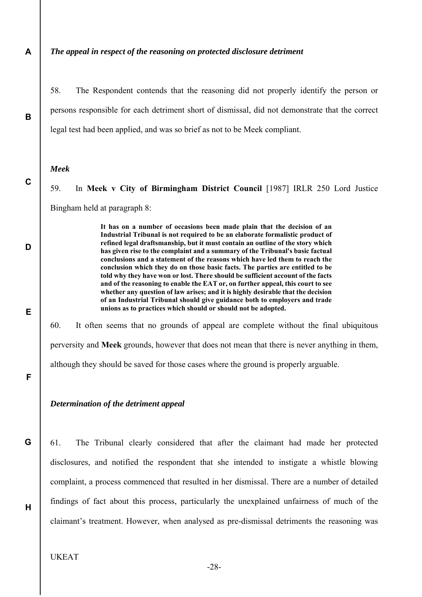**A** 

**B** 

**C** 

**D** 

**E** 

**F** 

**G** 

#### *The appeal in respect of the reasoning on protected disclosure detriment*

58. The Respondent contends that the reasoning did not properly identify the person or persons responsible for each detriment short of dismissal, did not demonstrate that the correct legal test had been applied, and was so brief as not to be Meek compliant.

#### *Meek*

59. In **Meek v City of Birmingham District Council** [1987] IRLR 250 Lord Justice Bingham held at paragraph 8:

> **It has on a number of occasions been made plain that the decision of an Industrial Tribunal is not required to be an elaborate formalistic product of refined legal draftsmanship, but it must contain an outline of the story which has given rise to the complaint and a summary of the Tribunal's basic factual conclusions and a statement of the reasons which have led them to reach the conclusion which they do on those basic facts. The parties are entitled to be told why they have won or lost. There should be sufficient account of the facts and of the reasoning to enable the EAT or, on further appeal, this court to see whether any question of law arises; and it is highly desirable that the decision of an Industrial Tribunal should give guidance both to employers and trade unions as to practices which should or should not be adopted.**

60. It often seems that no grounds of appeal are complete without the final ubiquitous perversity and **Meek** grounds, however that does not mean that there is never anything in them, although they should be saved for those cases where the ground is properly arguable.

#### *Determination of the detriment appeal*

61. The Tribunal clearly considered that after the claimant had made her protected disclosures, and notified the respondent that she intended to instigate a whistle blowing complaint, a process commenced that resulted in her dismissal. There are a number of detailed findings of fact about this process, particularly the unexplained unfairness of much of the claimant's treatment. However, when analysed as pre-dismissal detriments the reasoning was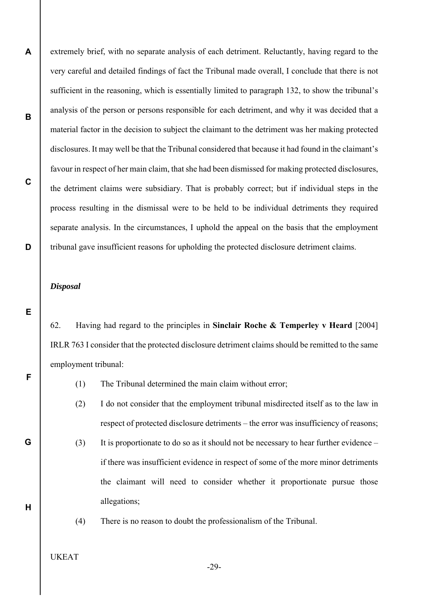extremely brief, with no separate analysis of each detriment. Reluctantly, having regard to the very careful and detailed findings of fact the Tribunal made overall, I conclude that there is not sufficient in the reasoning, which is essentially limited to paragraph 132, to show the tribunal's analysis of the person or persons responsible for each detriment, and why it was decided that a material factor in the decision to subject the claimant to the detriment was her making protected disclosures. It may well be that the Tribunal considered that because it had found in the claimant's favour in respect of her main claim, that she had been dismissed for making protected disclosures, the detriment claims were subsidiary. That is probably correct; but if individual steps in the process resulting in the dismissal were to be held to be individual detriments they required separate analysis. In the circumstances, I uphold the appeal on the basis that the employment tribunal gave insufficient reasons for upholding the protected disclosure detriment claims.

#### *Disposal*

**A** 

**B** 

**C** 

**D** 

**E** 

**F** 

**G** 

**H** 

62. Having had regard to the principles in **Sinclair Roche & Temperley v Heard** [2004] IRLR 763 I consider that the protected disclosure detriment claims should be remitted to the same employment tribunal:

- (1) The Tribunal determined the main claim without error;
- (2) I do not consider that the employment tribunal misdirected itself as to the law in respect of protected disclosure detriments – the error was insufficiency of reasons;
- (3) It is proportionate to do so as it should not be necessary to hear further evidence if there was insufficient evidence in respect of some of the more minor detriments the claimant will need to consider whether it proportionate pursue those allegations;
- 
- (4) There is no reason to doubt the professionalism of the Tribunal.
- UKEAT

-29-